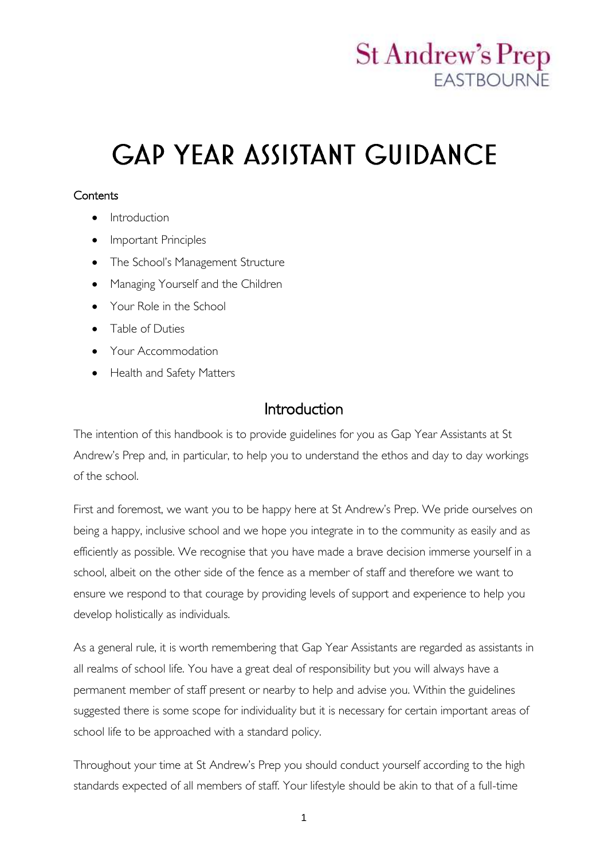## **St Andrew's Prep FASTBOURNE**

# **GAP YEAR ASSISTANT GUIDANCE**

#### **Contents**

- Introduction
- Important Principles
- The School's Management Structure
- Managing Yourself and the Children
- Your Role in the School
- Table of Duties
- Your Accommodation
- Health and Safety Matters

## Introduction

The intention of this handbook is to provide guidelines for you as Gap Year Assistants at St Andrew's Prep and, in particular, to help you to understand the ethos and day to day workings of the school.

First and foremost, we want you to be happy here at St Andrew's Prep. We pride ourselves on being a happy, inclusive school and we hope you integrate in to the community as easily and as efficiently as possible. We recognise that you have made a brave decision immerse yourself in a school, albeit on the other side of the fence as a member of staff and therefore we want to ensure we respond to that courage by providing levels of support and experience to help you develop holistically as individuals.

As a general rule, it is worth remembering that Gap Year Assistants are regarded as assistants in all realms of school life. You have a great deal of responsibility but you will always have a permanent member of staff present or nearby to help and advise you. Within the guidelines suggested there is some scope for individuality but it is necessary for certain important areas of school life to be approached with a standard policy.

Throughout your time at St Andrew's Prep you should conduct yourself according to the high standards expected of all members of staff. Your lifestyle should be akin to that of a full-time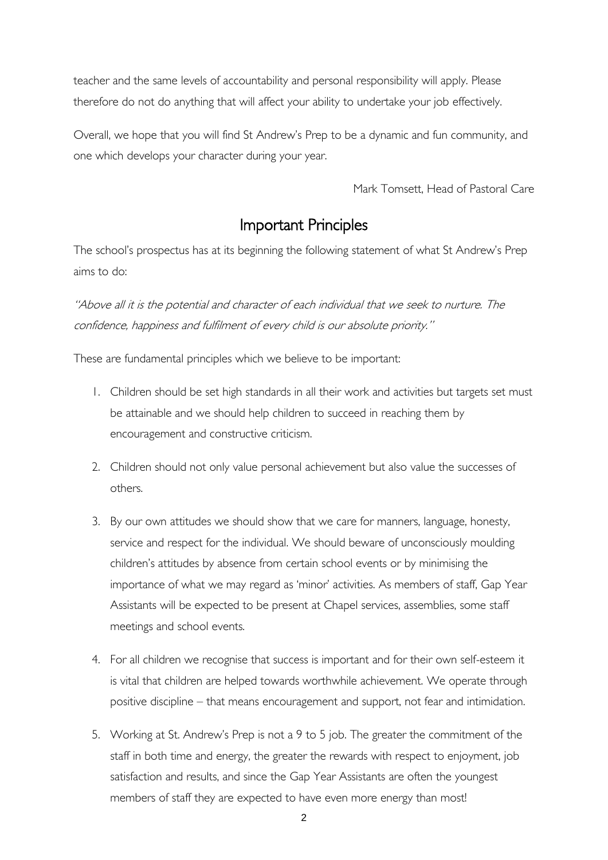teacher and the same levels of accountability and personal responsibility will apply. Please therefore do not do anything that will affect your ability to undertake your job effectively.

Overall, we hope that you will find St Andrew's Prep to be a dynamic and fun community, and one which develops your character during your year.

Mark Tomsett, Head of Pastoral Care

## Important Principles

The school's prospectus has at its beginning the following statement of what St Andrew's Prep aims to do:

"Above all it is the potential and character of each individual that we seek to nurture. The confidence, happiness and fulfilment of every child is our absolute priority."

These are fundamental principles which we believe to be important:

- 1. Children should be set high standards in all their work and activities but targets set must be attainable and we should help children to succeed in reaching them by encouragement and constructive criticism.
- 2. Children should not only value personal achievement but also value the successes of others.
- 3. By our own attitudes we should show that we care for manners, language, honesty, service and respect for the individual. We should beware of unconsciously moulding children's attitudes by absence from certain school events or by minimising the importance of what we may regard as 'minor' activities. As members of staff, Gap Year Assistants will be expected to be present at Chapel services, assemblies, some staff meetings and school events.
- 4. For all children we recognise that success is important and for their own self-esteem it is vital that children are helped towards worthwhile achievement. We operate through positive discipline – that means encouragement and support, not fear and intimidation.
- 5. Working at St. Andrew's Prep is not a 9 to 5 job. The greater the commitment of the staff in both time and energy, the greater the rewards with respect to enjoyment, job satisfaction and results, and since the Gap Year Assistants are often the youngest members of staff they are expected to have even more energy than most!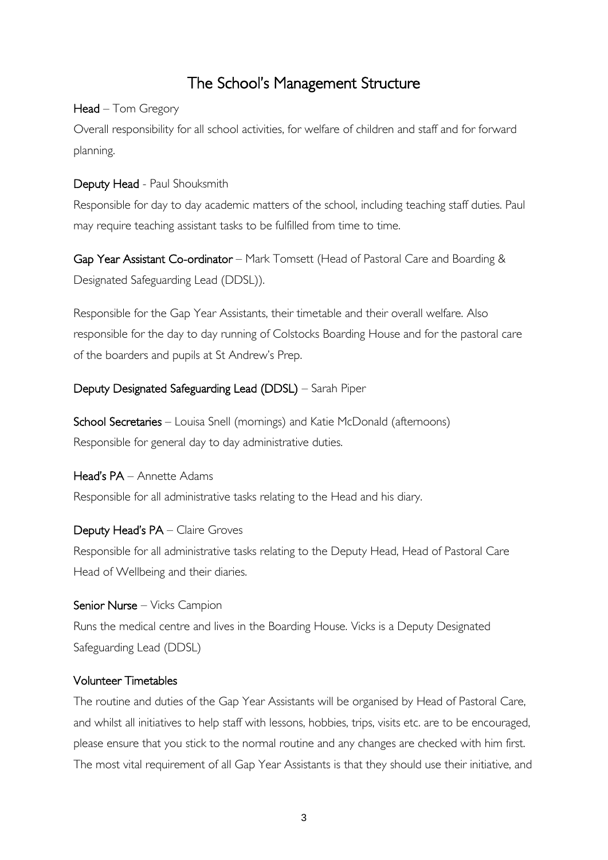## The School's Management Structure

#### Head – Tom Gregory

Overall responsibility for all school activities, for welfare of children and staff and for forward planning.

#### Deputy Head - Paul Shouksmith

Responsible for day to day academic matters of the school, including teaching staff duties. Paul may require teaching assistant tasks to be fulfilled from time to time.

Gap Year Assistant Co-ordinator – Mark Tomsett (Head of Pastoral Care and Boarding & Designated Safeguarding Lead (DDSL)).

Responsible for the Gap Year Assistants, their timetable and their overall welfare. Also responsible for the day to day running of Colstocks Boarding House and for the pastoral care of the boarders and pupils at St Andrew's Prep.

#### Deputy Designated Safeguarding Lead (DDSL) – Sarah Piper

School Secretaries – Louisa Snell (mornings) and Katie McDonald (afternoons) Responsible for general day to day administrative duties.

Head's PA – Annette Adams Responsible for all administrative tasks relating to the Head and his diary.

#### Deputy Head's PA – Claire Groves

Responsible for all administrative tasks relating to the Deputy Head, Head of Pastoral Care Head of Wellbeing and their diaries.

Senior Nurse – Vicks Campion Runs the medical centre and lives in the Boarding House. Vicks is a Deputy Designated Safeguarding Lead (DDSL)

#### Volunteer Timetables

The routine and duties of the Gap Year Assistants will be organised by Head of Pastoral Care, and whilst all initiatives to help staff with lessons, hobbies, trips, visits etc. are to be encouraged, please ensure that you stick to the normal routine and any changes are checked with him first. The most vital requirement of all Gap Year Assistants is that they should use their initiative, and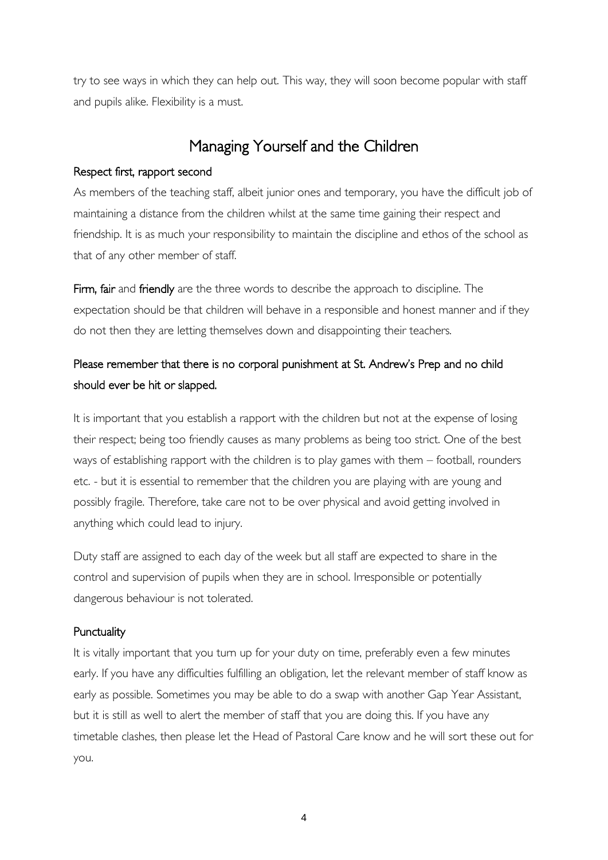try to see ways in which they can help out. This way, they will soon become popular with staff and pupils alike. Flexibility is a must.

## Managing Yourself and the Children

#### Respect first, rapport second

As members of the teaching staff, albeit junior ones and temporary, you have the difficult job of maintaining a distance from the children whilst at the same time gaining their respect and friendship. It is as much your responsibility to maintain the discipline and ethos of the school as that of any other member of staff.

Firm, fair and friendly are the three words to describe the approach to discipline. The expectation should be that children will behave in a responsible and honest manner and if they do not then they are letting themselves down and disappointing their teachers.

### Please remember that there is no corporal punishment at St. Andrew's Prep and no child should ever be hit or slapped.

It is important that you establish a rapport with the children but not at the expense of losing their respect; being too friendly causes as many problems as being too strict. One of the best ways of establishing rapport with the children is to play games with them – football, rounders etc. - but it is essential to remember that the children you are playing with are young and possibly fragile. Therefore, take care not to be over physical and avoid getting involved in anything which could lead to injury.

Duty staff are assigned to each day of the week but all staff are expected to share in the control and supervision of pupils when they are in school. Irresponsible or potentially dangerous behaviour is not tolerated.

#### **Punctuality**

It is vitally important that you turn up for your duty on time, preferably even a few minutes early. If you have any difficulties fulfilling an obligation, let the relevant member of staff know as early as possible. Sometimes you may be able to do a swap with another Gap Year Assistant, but it is still as well to alert the member of staff that you are doing this. If you have any timetable clashes, then please let the Head of Pastoral Care know and he will sort these out for you.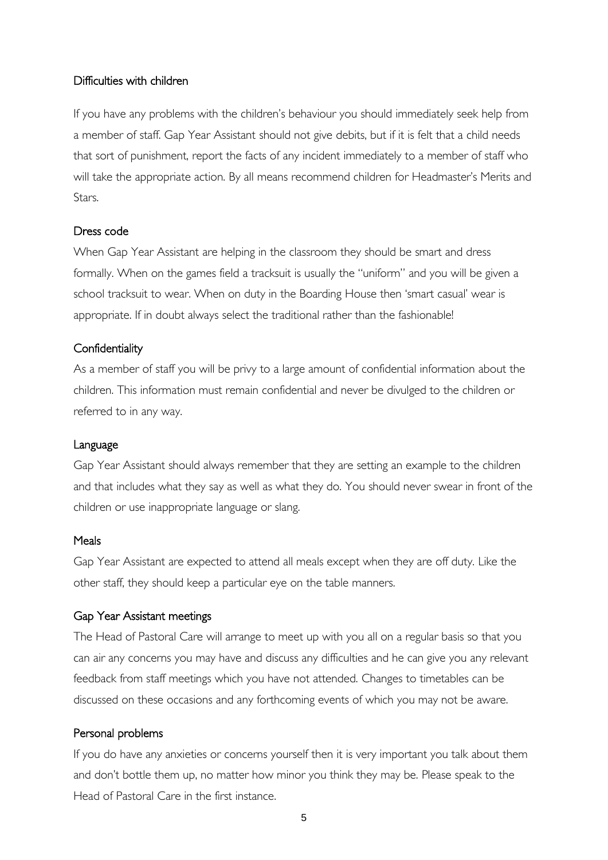#### Difficulties with children

If you have any problems with the children's behaviour you should immediately seek help from a member of staff. Gap Year Assistant should not give debits, but if it is felt that a child needs that sort of punishment, report the facts of any incident immediately to a member of staff who will take the appropriate action. By all means recommend children for Headmaster's Merits and **Stars** 

#### Dress code

When Gap Year Assistant are helping in the classroom they should be smart and dress formally. When on the games field a tracksuit is usually the "uniform" and you will be given a school tracksuit to wear. When on duty in the Boarding House then 'smart casual' wear is appropriate. If in doubt always select the traditional rather than the fashionable!

#### **Confidentiality**

As a member of staff you will be privy to a large amount of confidential information about the children. This information must remain confidential and never be divulged to the children or referred to in any way.

#### Language

Gap Year Assistant should always remember that they are setting an example to the children and that includes what they say as well as what they do. You should never swear in front of the children or use inappropriate language or slang.

#### Meals

Gap Year Assistant are expected to attend all meals except when they are off duty. Like the other staff, they should keep a particular eye on the table manners.

#### Gap Year Assistant meetings

The Head of Pastoral Care will arrange to meet up with you all on a regular basis so that you can air any concerns you may have and discuss any difficulties and he can give you any relevant feedback from staff meetings which you have not attended. Changes to timetables can be discussed on these occasions and any forthcoming events of which you may not be aware.

#### Personal problems

If you do have any anxieties or concerns yourself then it is very important you talk about them and don't bottle them up, no matter how minor you think they may be. Please speak to the Head of Pastoral Care in the first instance.

5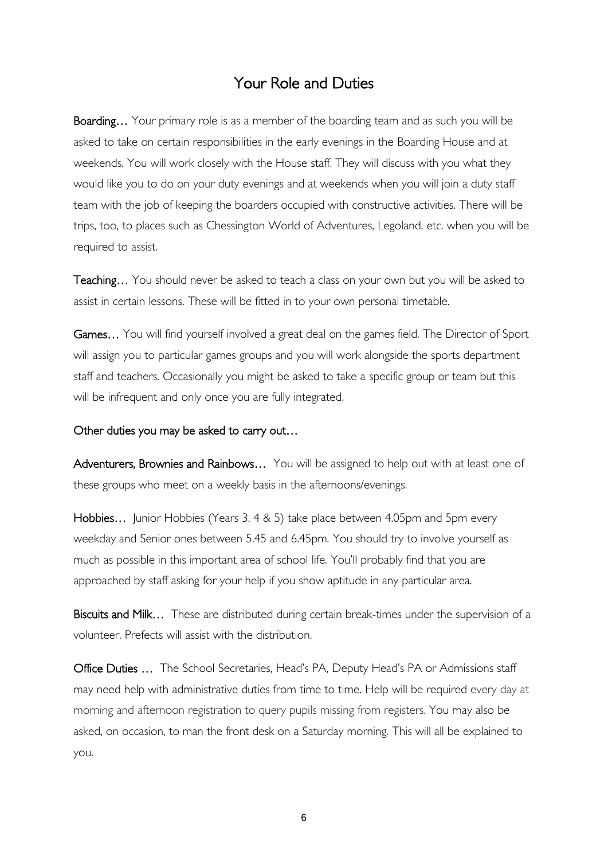## Your Role and Duties

Boarding... Your primary role is as a member of the boarding team and as such you will be asked to take on certain responsibilities in the early evenings in the Boarding House and at weekends. You will work closely with the House staff. They will discuss with you what they would like you to do on your duty evenings and at weekends when you will join a duty staff team with the job of keeping the boarders occupied with constructive activities. There will be trips, too, to places such as Chessington World of Adventures, Legoland, etc. when you will be required to assist.

Teaching… You should never be asked to teach a class on your own but you will be asked to assist in certain lessons. These will be fitted in to your own personal timetable.

Games… You will find yourself involved a great deal on the games field. The Director of Sport will assign you to particular games groups and you will work alongside the sports department staff and teachers. Occasionally you might be asked to take a specific group or team but this will be infrequent and only once you are fully integrated.

#### Other duties you may be asked to carry out…

Adventurers, Brownies and Rainbows... You will be assigned to help out with at least one of these groups who meet on a weekly basis in the afternoons/evenings.

Hobbies... Junior Hobbies (Years 3, 4 & 5) take place between 4.05pm and 5pm every weekday and Senior ones between 5.45 and 6.45pm. You should try to involve yourself as much as possible in this important area of school life. You'll probably find that you are approached by staff asking for your help if you show aptitude in any particular area.

Biscuits and Milk... These are distributed during certain break-times under the supervision of a volunteer. Prefects will assist with the distribution.

Office Duties ... The School Secretaries, Head's PA, Deputy Head's PA or Admissions staff may need help with administrative duties from time to time. Help will be required every day at morning and afternoon registration to query pupils missing from registers. You may also be asked, on occasion, to man the front desk on a Saturday morning. This will all be explained to you.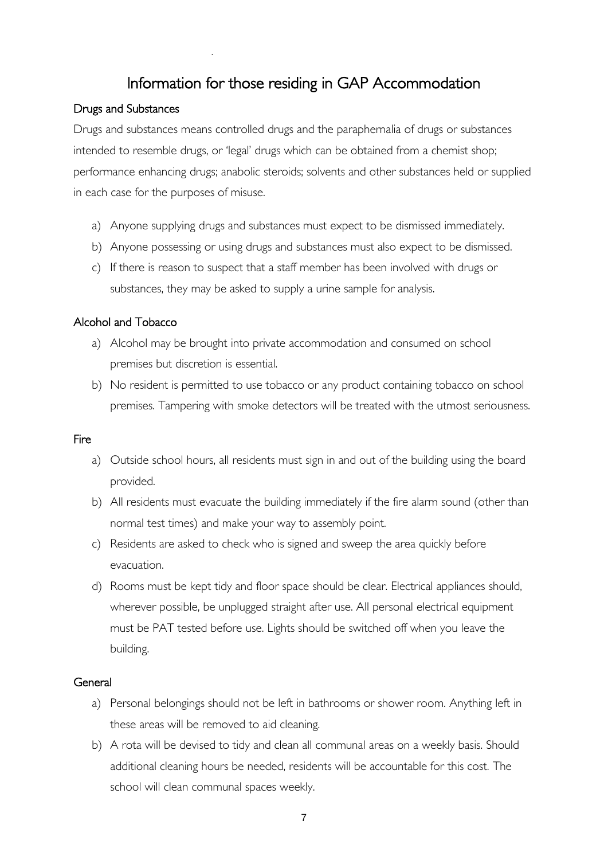## Information for those residing in GAP Accommodation

#### Drugs and Substances

Drugs and substances means controlled drugs and the paraphernalia of drugs or substances intended to resemble drugs, or 'legal' drugs which can be obtained from a chemist shop; performance enhancing drugs; anabolic steroids; solvents and other substances held or supplied in each case for the purposes of misuse.

- a) Anyone supplying drugs and substances must expect to be dismissed immediately.
- b) Anyone possessing or using drugs and substances must also expect to be dismissed.
- c) If there is reason to suspect that a staff member has been involved with drugs or substances, they may be asked to supply a urine sample for analysis.

#### Alcohol and Tobacco

- a) Alcohol may be brought into private accommodation and consumed on school premises but discretion is essential.
- b) No resident is permitted to use tobacco or any product containing tobacco on school premises. Tampering with smoke detectors will be treated with the utmost seriousness.

#### **Fire**

- a) Outside school hours, all residents must sign in and out of the building using the board provided.
- b) All residents must evacuate the building immediately if the fire alarm sound (other than normal test times) and make your way to assembly point.
- c) Residents are asked to check who is signed and sweep the area quickly before evacuation.
- d) Rooms must be kept tidy and floor space should be clear. Electrical appliances should, wherever possible, be unplugged straight after use. All personal electrical equipment must be PAT tested before use. Lights should be switched off when you leave the building.

#### **General**

- a) Personal belongings should not be left in bathrooms or shower room. Anything left in these areas will be removed to aid cleaning.
- b) A rota will be devised to tidy and clean all communal areas on a weekly basis. Should additional cleaning hours be needed, residents will be accountable for this cost. The school will clean communal spaces weekly.